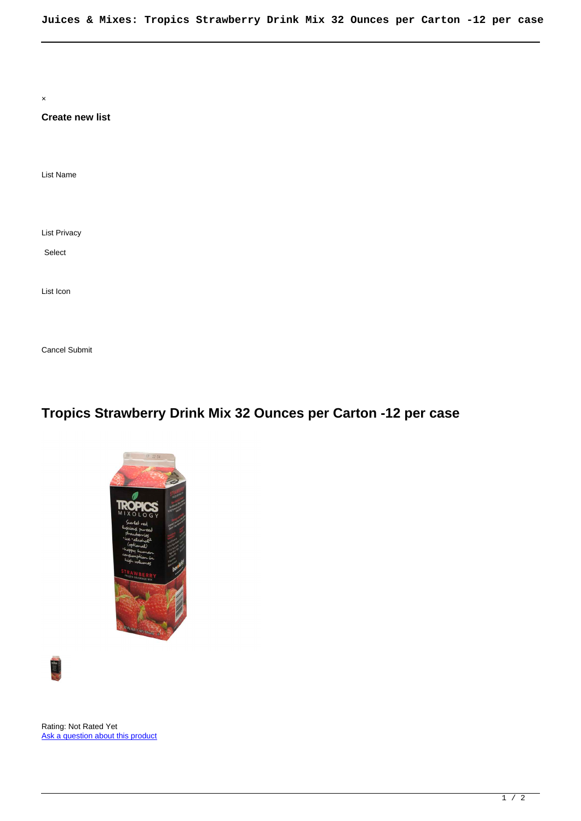× **Create new list** List Name List Privacy List Icon Select

## **Tropics Strawberry Drink Mix 32 Ounces per Carton -12 per case**





Cancel Submit

Rating: Not Rated Yet [Ask a question about this product](https://www.summitenterprises.net/index.php?option=com_virtuemart&view=productdetails&task=askquestion&virtuemart_product_id=760&virtuemart_category_id=103&tmpl=component)